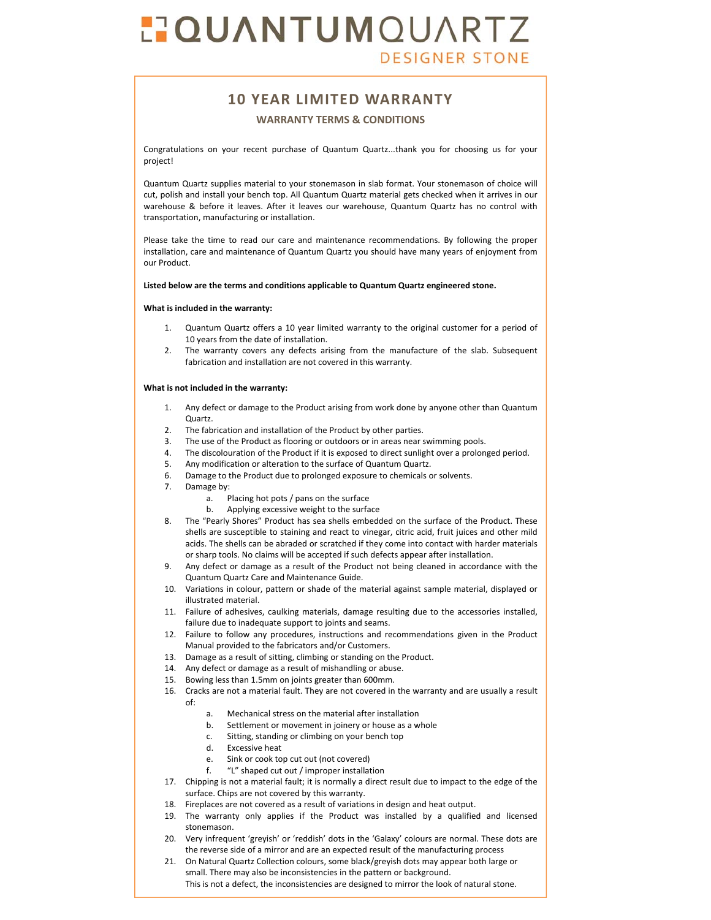## **POUANTUMOUARTZ DESIGNER STONE**

### **10 YEAR LIMITED WARRANTY**

### **WARRANTY TERMS & CONDITIONS**

Congratulations on your recent purchase of Quantum Quartz...thank you for choosing us for your project!

Quantum Quartz supplies material to your stonemason in slab format. Your stonemason of choice will cut, polish and install your bench top. All Quantum Quartz material gets checked when it arrives in our warehouse & before it leaves. After it leaves our warehouse, Quantum Quartz has no control with transportation, manufacturing or installation.

Please take the time to read our care and maintenance recommendations. By following the proper installation, care and maintenance of Quantum Quartz you should have many years of enjoyment from our Product.

### **Listed below are the terms and conditions applicable to Quantum Quartz engineered stone.**

### **What is included in the warranty:**

- Quantum Quartz offers a 10 year limited warranty to the original customer for a period of 10 years from the date of installation.
- 2. The warranty covers any defects arising from the manufacture of the slab. Subsequent fabrication and installation are not covered in this warranty.

### **What is not included in the warranty:**

- 1. Any defect or damage to the Product arising from work done by anyone other than Quantum Quartz.
- 2. The fabrication and installation of the Product by other parties.
- 3. The use of the Product as flooring or outdoors or in areas near swimming pools.<br>4. The discolouration of the Product if it is exposed to direct sunlight over a prolon
- The discolouration of the Product if it is exposed to direct sunlight over a prolonged period.
- 5. Any modification or alteration to the surface of Quantum Quartz.
- 6. Damage to the Product due to prolonged exposure to chemicals or solvents.
- 7. Damage by:
	- a. Placing hot pots / pans on the surface<br>h Anniving excessive weight to the surfa
	- Applying excessive weight to the surface
- 8. The "Pearly Shores" Product has sea shells embedded on the surface of the Product. These shells are susceptible to staining and react to vinegar, citric acid, fruit juices and other mild acids. The shells can be abraded or scratched if they come into contact with harder materials or sharp tools. No claims will be accepted if such defects appear after installation.
- 9. Any defect or damage as a result of the Product not being cleaned in accordance with the Quantum Quartz Care and Maintenance Guide.
- 10. Variations in colour, pattern or shade of the material against sample material, displayed or illustrated material.
- 11. Failure of adhesives, caulking materials, damage resulting due to the accessories installed, failure due to inadequate support to joints and seams.
- 12. Failure to follow any procedures, instructions and recommendations given in the Product Manual provided to the fabricators and/or Customers.
- 13. Damage as a result of sitting, climbing or standing on the Product.
- 14. Any defect or damage as a result of mishandling or abuse.
- 15. Bowing less than 1.5mm on joints greater than 600mm.
- 16. Cracks are not a material fault. They are not covered in the warranty and are usually a result of:
	- a. Mechanical stress on the material after installation
	-
	- b. Settlement or movement in joinery or house as a whole<br>c. Sitting, standing or climbing on your bench top Sitting, standing or climbing on your bench top
	- d. Excessive heat
	- e. Sink or cook top cut out (not covered)
	- f. "L" shaped cut out / improper installation
- 17. Chipping is not a material fault; it is normally a direct result due to impact to the edge of the surface. Chips are not covered by this warranty.
- 18. Fireplaces are not covered as a result of variations in design and heat output.
- 19. The warranty only applies if the Product was installed by a qualified and licensed stonemason.
- 20. Very infrequent 'greyish' or 'reddish' dots in the 'Galaxy' colours are normal. These dots are the reverse side of a mirror and are an expected result of the manufacturing process
- 21. On Natural Quartz Collection colours, some black/greyish dots may appear both large or small. There may also be inconsistencies in the pattern or background. This is not a defect, the inconsistencies are designed to mirror the look of natural stone.